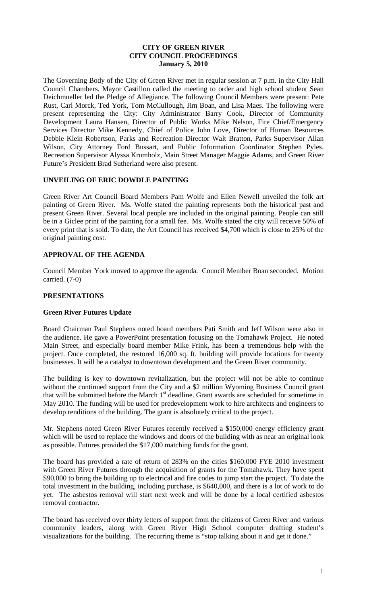## **CITY OF GREEN RIVER CITY COUNCIL PROCEEDINGS January 5, 2010**

The Governing Body of the City of Green River met in regular session at 7 p.m. in the City Hall Council Chambers. Mayor Castillon called the meeting to order and high school student Sean Deichmueller led the Pledge of Allegiance. The following Council Members were present: Pete Rust, Carl Morck, Ted York, Tom McCullough, Jim Boan, and Lisa Maes. The following were present representing the City: City Administrator Barry Cook, Director of Community Development Laura Hansen, Director of Public Works Mike Nelson, Fire Chief/Emergency Services Director Mike Kennedy, Chief of Police John Love, Director of Human Resources Debbie Klein Robertson, Parks and Recreation Director Walt Bratton, Parks Supervisor Allan Wilson, City Attorney Ford Bussart, and Public Information Coordinator Stephen Pyles. Recreation Supervisor Alyssa Krumholz, Main Street Manager Maggie Adams, and Green River Future's President Brad Sutherland were also present.

# **UNVEILING OF ERIC DOWDLE PAINTING**

Green River Art Council Board Members Pam Wolfe and Ellen Newell unveiled the folk art painting of Green River. Ms. Wolfe stated the painting represents both the historical past and present Green River. Several local people are included in the original painting. People can still be in a Giclee print of the painting for a small fee. Ms. Wolfe stated the city will receive 50% of every print that is sold. To date, the Art Council has received \$4,700 which is close to 25% of the original painting cost.

## **APPROVAL OF THE AGENDA**

Council Member York moved to approve the agenda. Council Member Boan seconded. Motion carried. (7-0)

# **PRESENTATIONS**

## **Green River Futures Update**

Board Chairman Paul Stephens noted board members Pati Smith and Jeff Wilson were also in the audience. He gave a PowerPoint presentation focusing on the Tomahawk Project. He noted Main Street, and especially board member Mike Frink, has been a tremendous help with the project. Once completed, the restored 16,000 sq. ft. building will provide locations for twenty businesses. It will be a catalyst to downtown development and the Green River community.

The building is key to downtown revitalization, but the project will not be able to continue without the continued support from the City and a \$2 million Wyoming Business Council grant that will be submitted before the March 1<sup>st</sup> deadline. Grant awards are scheduled for sometime in May 2010. The funding will be used for predevelopment work to hire architects and engineers to develop renditions of the building. The grant is absolutely critical to the project.

Mr. Stephens noted Green River Futures recently received a \$150,000 energy efficiency grant which will be used to replace the windows and doors of the building with as near an original look as possible. Futures provided the \$17,000 matching funds for the grant.

The board has provided a rate of return of 283% on the cities \$160,000 FYE 2010 investment with Green River Futures through the acquisition of grants for the Tomahawk. They have spent \$90,000 to bring the building up to electrical and fire codes to jump start the project. To date the total investment in the building, including purchase, is \$640,000, and there is a lot of work to do yet. The asbestos removal will start next week and will be done by a local certified asbestos removal contractor.

The board has received over thirty letters of support from the citizens of Green River and various community leaders, along with Green River High School computer drafting student's visualizations for the building. The recurring theme is "stop talking about it and get it done."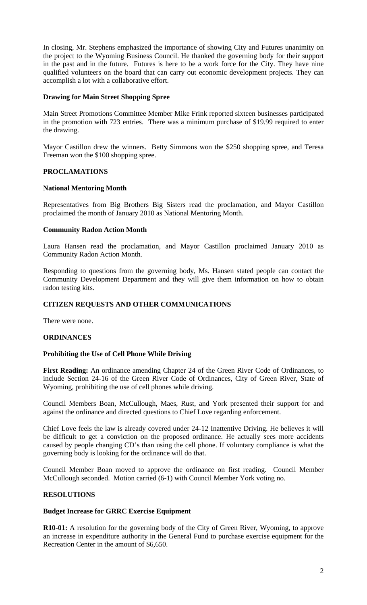In closing, Mr. Stephens emphasized the importance of showing City and Futures unanimity on the project to the Wyoming Business Council. He thanked the governing body for their support in the past and in the future. Futures is here to be a work force for the City. They have nine qualified volunteers on the board that can carry out economic development projects. They can accomplish a lot with a collaborative effort.

## **Drawing for Main Street Shopping Spree**

Main Street Promotions Committee Member Mike Frink reported sixteen businesses participated in the promotion with 723 entries. There was a minimum purchase of \$19.99 required to enter the drawing.

Mayor Castillon drew the winners. Betty Simmons won the \$250 shopping spree, and Teresa Freeman won the \$100 shopping spree.

## **PROCLAMATIONS**

## **National Mentoring Month**

Representatives from Big Brothers Big Sisters read the proclamation, and Mayor Castillon proclaimed the month of January 2010 as National Mentoring Month.

## **Community Radon Action Month**

Laura Hansen read the proclamation, and Mayor Castillon proclaimed January 2010 as Community Radon Action Month.

Responding to questions from the governing body, Ms. Hansen stated people can contact the Community Development Department and they will give them information on how to obtain radon testing kits.

## **CITIZEN REQUESTS AND OTHER COMMUNICATIONS**

There were none.

#### **ORDINANCES**

#### **Prohibiting the Use of Cell Phone While Driving**

**First Reading:** An ordinance amending Chapter 24 of the Green River Code of Ordinances, to include Section 24-16 of the Green River Code of Ordinances, City of Green River, State of Wyoming, prohibiting the use of cell phones while driving.

Council Members Boan, McCullough, Maes, Rust, and York presented their support for and against the ordinance and directed questions to Chief Love regarding enforcement.

Chief Love feels the law is already covered under 24-12 Inattentive Driving. He believes it will be difficult to get a conviction on the proposed ordinance. He actually sees more accidents caused by people changing CD's than using the cell phone. If voluntary compliance is what the governing body is looking for the ordinance will do that.

Council Member Boan moved to approve the ordinance on first reading. Council Member McCullough seconded. Motion carried (6-1) with Council Member York voting no.

## **RESOLUTIONS**

## **Budget Increase for GRRC Exercise Equipment**

**R10-01:** A resolution for the governing body of the City of Green River, Wyoming, to approve an increase in expenditure authority in the General Fund to purchase exercise equipment for the Recreation Center in the amount of \$6,650.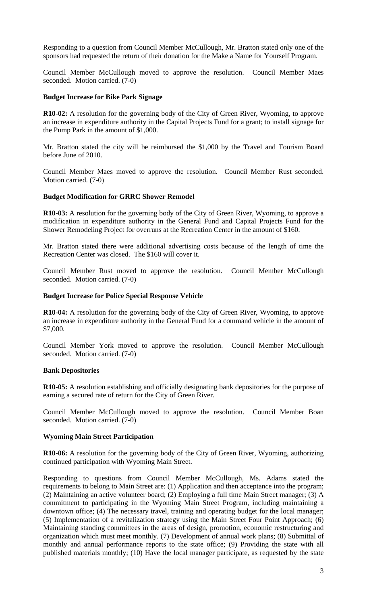Responding to a question from Council Member McCullough, Mr. Bratton stated only one of the sponsors had requested the return of their donation for the Make a Name for Yourself Program.

Council Member McCullough moved to approve the resolution. Council Member Maes seconded. Motion carried. (7-0)

## **Budget Increase for Bike Park Signage**

**R10-02:** A resolution for the governing body of the City of Green River, Wyoming, to approve an increase in expenditure authority in the Capital Projects Fund for a grant; to install signage for the Pump Park in the amount of \$1,000.

Mr. Bratton stated the city will be reimbursed the \$1,000 by the Travel and Tourism Board before June of 2010.

Council Member Maes moved to approve the resolution. Council Member Rust seconded. Motion carried. (7-0)

## **Budget Modification for GRRC Shower Remodel**

**R10-03:** A resolution for the governing body of the City of Green River, Wyoming, to approve a modification in expenditure authority in the General Fund and Capital Projects Fund for the Shower Remodeling Project for overruns at the Recreation Center in the amount of \$160.

Mr. Bratton stated there were additional advertising costs because of the length of time the Recreation Center was closed. The \$160 will cover it.

Council Member Rust moved to approve the resolution. Council Member McCullough seconded. Motion carried. (7-0)

## **Budget Increase for Police Special Response Vehicle**

**R10-04:** A resolution for the governing body of the City of Green River, Wyoming, to approve an increase in expenditure authority in the General Fund for a command vehicle in the amount of \$7,000.

Council Member York moved to approve the resolution. Council Member McCullough seconded. Motion carried. (7-0)

#### **Bank Depositories**

**R10-05:** A resolution establishing and officially designating bank depositories for the purpose of earning a secured rate of return for the City of Green River.

Council Member McCullough moved to approve the resolution. Council Member Boan seconded. Motion carried. (7-0)

#### **Wyoming Main Street Participation**

**R10-06:** A resolution for the governing body of the City of Green River, Wyoming, authorizing continued participation with Wyoming Main Street.

Responding to questions from Council Member McCullough, Ms. Adams stated the requirements to belong to Main Street are: (1) Application and then acceptance into the program; (2) Maintaining an active volunteer board; (2) Employing a full time Main Street manager; (3) A commitment to participating in the Wyoming Main Street Program, including maintaining a downtown office; (4) The necessary travel, training and operating budget for the local manager; (5) Implementation of a revitalization strategy using the Main Street Four Point Approach; (6) Maintaining standing committees in the areas of design, promotion, economic restructuring and organization which must meet monthly. (7) Development of annual work plans; (8) Submittal of monthly and annual performance reports to the state office; (9) Providing the state with all published materials monthly; (10) Have the local manager participate, as requested by the state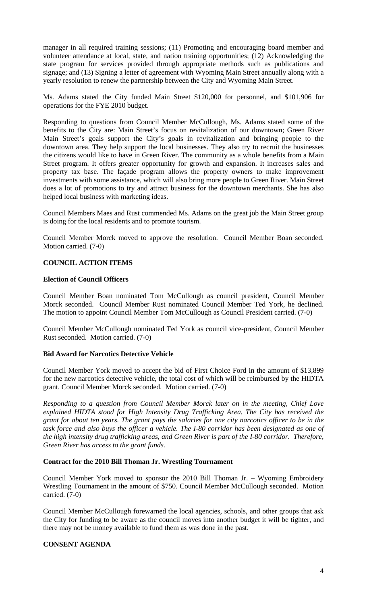manager in all required training sessions; (11) Promoting and encouraging board member and volunteer attendance at local, state, and nation training opportunities; (12) Acknowledging the state program for services provided through appropriate methods such as publications and signage; and (13) Signing a letter of agreement with Wyoming Main Street annually along with a yearly resolution to renew the partnership between the City and Wyoming Main Street.

Ms. Adams stated the City funded Main Street \$120,000 for personnel, and \$101,906 for operations for the FYE 2010 budget.

Responding to questions from Council Member McCullough, Ms. Adams stated some of the benefits to the City are: Main Street's focus on revitalization of our downtown; Green River Main Street's goals support the City's goals in revitalization and bringing people to the downtown area. They help support the local businesses. They also try to recruit the businesses the citizens would like to have in Green River. The community as a whole benefits from a Main Street program. It offers greater opportunity for growth and expansion. It increases sales and property tax base. The façade program allows the property owners to make improvement investments with some assistance, which will also bring more people to Green River. Main Street does a lot of promotions to try and attract business for the downtown merchants. She has also helped local business with marketing ideas.

Council Members Maes and Rust commended Ms. Adams on the great job the Main Street group is doing for the local residents and to promote tourism.

Council Member Morck moved to approve the resolution. Council Member Boan seconded. Motion carried. (7-0)

# **COUNCIL ACTION ITEMS**

# **Election of Council Officers**

Council Member Boan nominated Tom McCullough as council president, Council Member Morck seconded. Council Member Rust nominated Council Member Ted York, he declined. The motion to appoint Council Member Tom McCullough as Council President carried. (7-0)

Council Member McCullough nominated Ted York as council vice-president, Council Member Rust seconded. Motion carried. (7-0)

## **Bid Award for Narcotics Detective Vehicle**

Council Member York moved to accept the bid of First Choice Ford in the amount of \$13,899 for the new narcotics detective vehicle, the total cost of which will be reimbursed by the HIDTA grant. Council Member Morck seconded. Motion carried. (7-0)

*Responding to a question from Council Member Morck later on in the meeting, Chief Love explained HIDTA stood for High Intensity Drug Trafficking Area. The City has received the grant for about ten years. The grant pays the salaries for one city narcotics officer to be in the task force and also buys the officer a vehicle. The I-80 corridor has been designated as one of the high intensity drug trafficking areas, and Green River is part of the I-80 corridor. Therefore, Green River has access to the grant funds.* 

#### **Contract for the 2010 Bill Thoman Jr. Wrestling Tournament**

Council Member York moved to sponsor the 2010 Bill Thoman Jr. – Wyoming Embroidery Wrestling Tournament in the amount of \$750. Council Member McCullough seconded. Motion carried. (7-0)

Council Member McCullough forewarned the local agencies, schools, and other groups that ask the City for funding to be aware as the council moves into another budget it will be tighter, and there may not be money available to fund them as was done in the past.

## **CONSENT AGENDA**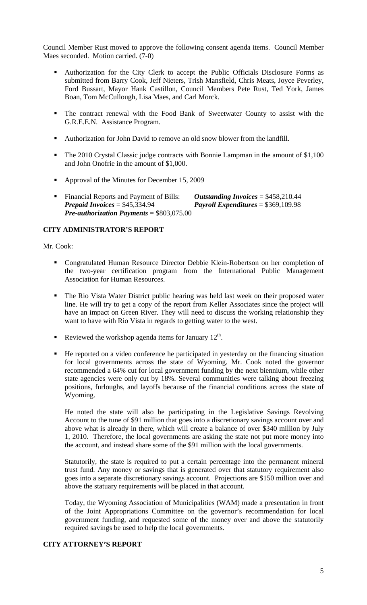Council Member Rust moved to approve the following consent agenda items. Council Member Maes seconded. Motion carried. (7-0)

- Authorization for the City Clerk to accept the Public Officials Disclosure Forms as submitted from Barry Cook, Jeff Nieters, Trish Mansfield, Chris Meats, Joyce Peverley, Ford Bussart, Mayor Hank Castillon, Council Members Pete Rust, Ted York, James Boan, Tom McCullough, Lisa Maes, and Carl Morck.
- The contract renewal with the Food Bank of Sweetwater County to assist with the G.R.E.E.N. Assistance Program.
- Authorization for John David to remove an old snow blower from the landfill.
- The 2010 Crystal Classic judge contracts with Bonnie Lampman in the amount of \$1,100 and John Onofrie in the amount of \$1,000.
- Approval of the Minutes for December 15, 2009
- Financial Reports and Payment of Bills: *Outstanding Invoices* = \$458,210.44<br>*Prepaid Invoices* = \$45,334.94 *Payroll Expenditures* = \$369,109.98 *Payroll Expenditures* = \$369,109.98 *Pre-authorization Payments* = \$803,075.00

# **CITY ADMINISTRATOR'S REPORT**

## Mr. Cook:

- Congratulated Human Resource Director Debbie Klein-Robertson on her completion of the two-year certification program from the International Public Management Association for Human Resources.
- The Rio Vista Water District public hearing was held last week on their proposed water line. He will try to get a copy of the report from Keller Associates since the project will have an impact on Green River. They will need to discuss the working relationship they want to have with Rio Vista in regards to getting water to the west.
- Reviewed the workshop agenda items for January  $12<sup>th</sup>$ .
- He reported on a video conference he participated in yesterday on the financing situation for local governments across the state of Wyoming. Mr. Cook noted the governor recommended a 64% cut for local government funding by the next biennium, while other state agencies were only cut by 18%. Several communities were talking about freezing positions, furloughs, and layoffs because of the financial conditions across the state of Wyoming.

He noted the state will also be participating in the Legislative Savings Revolving Account to the tune of \$91 million that goes into a discretionary savings account over and above what is already in there, which will create a balance of over \$340 million by July 1, 2010. Therefore, the local governments are asking the state not put more money into the account, and instead share some of the \$91 million with the local governments.

Statutorily, the state is required to put a certain percentage into the permanent mineral trust fund. Any money or savings that is generated over that statutory requirement also goes into a separate discretionary savings account. Projections are \$150 million over and above the statuary requirements will be placed in that account.

Today, the Wyoming Association of Municipalities (WAM) made a presentation in front of the Joint Appropriations Committee on the governor's recommendation for local government funding, and requested some of the money over and above the statutorily required savings be used to help the local governments.

## **CITY ATTORNEY'S REPORT**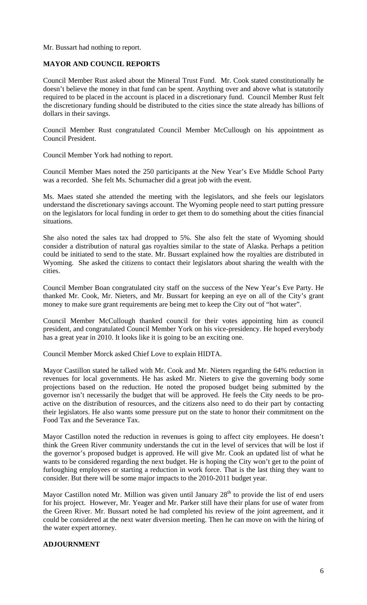Mr. Bussart had nothing to report.

## **MAYOR AND COUNCIL REPORTS**

Council Member Rust asked about the Mineral Trust Fund. Mr. Cook stated constitutionally he doesn't believe the money in that fund can be spent. Anything over and above what is statutorily required to be placed in the account is placed in a discretionary fund. Council Member Rust felt the discretionary funding should be distributed to the cities since the state already has billions of dollars in their savings.

Council Member Rust congratulated Council Member McCullough on his appointment as Council President.

Council Member York had nothing to report.

Council Member Maes noted the 250 participants at the New Year's Eve Middle School Party was a recorded. She felt Ms. Schumacher did a great job with the event.

Ms. Maes stated she attended the meeting with the legislators, and she feels our legislators understand the discretionary savings account. The Wyoming people need to start putting pressure on the legislators for local funding in order to get them to do something about the cities financial situations.

She also noted the sales tax had dropped to 5%. She also felt the state of Wyoming should consider a distribution of natural gas royalties similar to the state of Alaska. Perhaps a petition could be initiated to send to the state. Mr. Bussart explained how the royalties are distributed in Wyoming. She asked the citizens to contact their legislators about sharing the wealth with the cities.

Council Member Boan congratulated city staff on the success of the New Year's Eve Party. He thanked Mr. Cook, Mr. Nieters, and Mr. Bussart for keeping an eye on all of the City's grant money to make sure grant requirements are being met to keep the City out of "hot water".

Council Member McCullough thanked council for their votes appointing him as council president, and congratulated Council Member York on his vice-presidency. He hoped everybody has a great year in 2010. It looks like it is going to be an exciting one.

Council Member Morck asked Chief Love to explain HIDTA.

Mayor Castillon stated he talked with Mr. Cook and Mr. Nieters regarding the 64% reduction in revenues for local governments. He has asked Mr. Nieters to give the governing body some projections based on the reduction. He noted the proposed budget being submitted by the governor isn't necessarily the budget that will be approved. He feels the City needs to be proactive on the distribution of resources, and the citizens also need to do their part by contacting their legislators. He also wants some pressure put on the state to honor their commitment on the Food Tax and the Severance Tax.

Mayor Castillon noted the reduction in revenues is going to affect city employees. He doesn't think the Green River community understands the cut in the level of services that will be lost if the governor's proposed budget is approved. He will give Mr. Cook an updated list of what he wants to be considered regarding the next budget. He is hoping the City won't get to the point of furloughing employees or starting a reduction in work force. That is the last thing they want to consider. But there will be some major impacts to the 2010-2011 budget year.

Mayor Castillon noted Mr. Million was given until January  $28<sup>th</sup>$  to provide the list of end users for his project. However, Mr. Yeager and Mr. Parker still have their plans for use of water from the Green River. Mr. Bussart noted he had completed his review of the joint agreement, and it could be considered at the next water diversion meeting. Then he can move on with the hiring of the water expert attorney.

## **ADJOURNMENT**